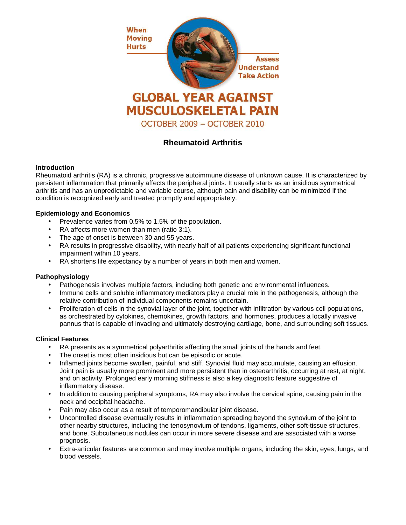

# **Rheumatoid Arthritis**

## **Introduction**

Rheumatoid arthritis (RA) is a chronic, progressive autoimmune disease of unknown cause. It is characterized by persistent inflammation that primarily affects the peripheral joints. It usually starts as an insidious symmetrical arthritis and has an unpredictable and variable course, although pain and disability can be minimized if the condition is recognized early and treated promptly and appropriately.

## **Epidemiology and Economics**

- Prevalence varies from 0.5% to 1.5% of the population.
- RA affects more women than men (ratio 3:1).
- The age of onset is between 30 and 55 years.
- RA results in progressive disability, with nearly half of all patients experiencing significant functional impairment within 10 years.
- RA shortens life expectancy by a number of years in both men and women.

#### **Pathophysiology**

- Pathogenesis involves multiple factors, including both genetic and environmental influences.
- Immune cells and soluble inflammatory mediators play a crucial role in the pathogenesis, although the relative contribution of individual components remains uncertain.
- Proliferation of cells in the synovial layer of the joint, together with infiltration by various cell populations, as orchestrated by cytokines, chemokines, growth factors, and hormones, produces a locally invasive pannus that is capable of invading and ultimately destroying cartilage, bone, and surrounding soft tissues.

## **Clinical Features**

- RA presents as a symmetrical polyarthritis affecting the small joints of the hands and feet.
- The onset is most often insidious but can be episodic or acute.
- Inflamed joints become swollen, painful, and stiff. Synovial fluid may accumulate, causing an effusion. Joint pain is usually more prominent and more persistent than in osteoarthritis, occurring at rest, at night, and on activity. Prolonged early morning stiffness is also a key diagnostic feature suggestive of inflammatory disease.
- In addition to causing peripheral symptoms, RA may also involve the cervical spine, causing pain in the neck and occipital headache.
- Pain may also occur as a result of temporomandibular joint disease.
- Uncontrolled disease eventually results in inflammation spreading beyond the synovium of the joint to other nearby structures, including the tenosynovium of tendons, ligaments, other soft-tissue structures, and bone. Subcutaneous nodules can occur in more severe disease and are associated with a worse prognosis.
- Extra-articular features are common and may involve multiple organs, including the skin, eyes, lungs, and blood vessels.